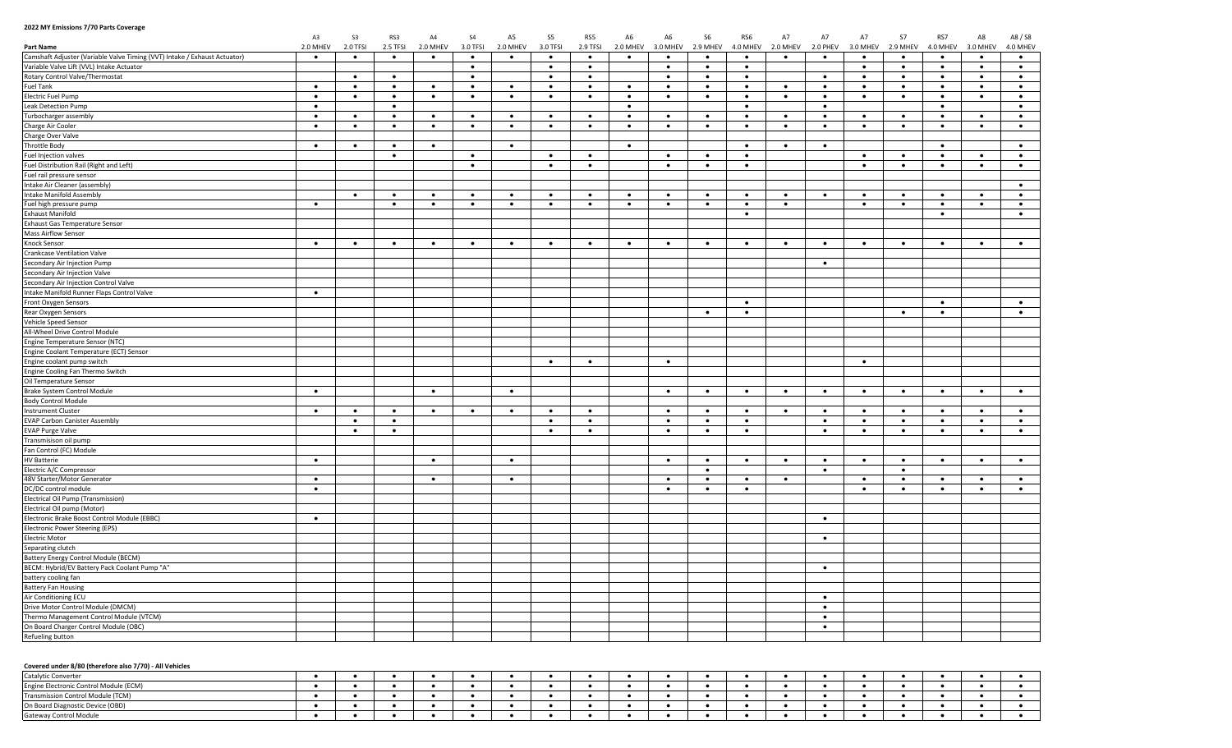## **2022 MY Emissions 7/70 Parts Coverage**

|                                                                           | A3        | S <sub>3</sub> | RS3       | AA        | S <sub>4</sub> | A <sub>5</sub> | S5        | RS5       | A <sub>6</sub> | A <sub>6</sub> | <b>S6</b> | RS6       | A7        | A7        | A7        | S7        | RS7       | A8        | A8 / S8   |
|---------------------------------------------------------------------------|-----------|----------------|-----------|-----------|----------------|----------------|-----------|-----------|----------------|----------------|-----------|-----------|-----------|-----------|-----------|-----------|-----------|-----------|-----------|
| <b>Part Name</b>                                                          | 2.0 MHEV  | 2.0 TFSI       | 2.5 TFSI  | 2.0 MHEV  | 3.0 TFSI       | 2.0 MHEV       | 3.0 TFSI  | 2.9 TFSI  | 2.0 MHEV       | 3.0 MHEV       | 2.9 MHEV  | 4.0 MHEV  | 2.0 MHEV  | 2.0 PHEV  | 3.0 MHEV  | 2.9 MHEV  | 4.0 MHEV  | 3.0 MHEV  | 4.0 MHEV  |
| Camshaft Adjuster (Variable Valve Timing (VVT) Intake / Exhaust Actuator) | $\bullet$ | $\bullet$      | $\bullet$ | $\bullet$ | $\bullet$      | $\bullet$      | $\bullet$ | $\bullet$ | $\bullet$      | $\bullet$      | $\bullet$ | $\bullet$ | $\bullet$ | $\bullet$ | $\bullet$ | $\bullet$ | $\bullet$ | $\bullet$ | $\bullet$ |
| Variable Valve Lift (VVL) Intake Actuator                                 |           |                |           |           | $\bullet$      |                | $\bullet$ | $\bullet$ |                | $\bullet$      | $\bullet$ | $\bullet$ |           |           | $\bullet$ | $\bullet$ | $\bullet$ | $\bullet$ | $\bullet$ |
| Rotary Control Valve/Thermostat                                           |           | $\bullet$      | $\bullet$ |           | $\bullet$      |                | $\bullet$ | $\bullet$ |                | $\bullet$      | $\bullet$ | $\bullet$ |           | $\bullet$ | $\bullet$ | $\bullet$ | $\bullet$ | $\bullet$ | $\bullet$ |
| <b>Fuel Tank</b>                                                          | $\bullet$ | $\bullet$      | $\bullet$ | $\bullet$ | $\bullet$      | $\bullet$      | $\bullet$ | $\bullet$ | $\bullet$      | $\bullet$      | $\bullet$ | $\bullet$ | $\bullet$ | $\bullet$ | $\bullet$ | $\bullet$ | $\bullet$ | $\bullet$ | $\bullet$ |
| <b>Electric Fuel Pump</b>                                                 | $\bullet$ | $\bullet$      | $\bullet$ | $\bullet$ | $\bullet$      | $\bullet$      | $\bullet$ | $\bullet$ | $\bullet$      | $\bullet$      | $\bullet$ | $\bullet$ | $\bullet$ | $\bullet$ | $\bullet$ | $\bullet$ | $\bullet$ | $\bullet$ | $\bullet$ |
| Leak Detection Pump                                                       | $\bullet$ |                | $\bullet$ |           |                |                |           |           | $\bullet$      |                |           | $\bullet$ |           | $\bullet$ |           |           | $\bullet$ |           | $\bullet$ |
| Turbocharger assembly                                                     | $\bullet$ | $\bullet$      | $\bullet$ | $\bullet$ | $\bullet$      | $\bullet$      | $\bullet$ | $\bullet$ | $\bullet$      | $\bullet$      | $\bullet$ | $\bullet$ | $\bullet$ | $\bullet$ |           |           | ٠         | $\bullet$ | $\bullet$ |
| Charge Air Cooler                                                         | $\bullet$ | $\bullet$      | $\bullet$ | $\bullet$ | $\bullet$      | $\bullet$      | $\bullet$ | $\bullet$ | $\bullet$      | $\bullet$      | $\bullet$ | $\bullet$ | $\bullet$ | $\bullet$ | $\bullet$ | $\bullet$ | $\bullet$ | $\bullet$ | $\bullet$ |
| Charge Over Valve                                                         |           |                |           |           |                |                |           |           |                |                |           |           |           |           |           |           |           |           |           |
| Throttle Body                                                             | $\bullet$ | ٠              | $\bullet$ | $\bullet$ |                | $\bullet$      |           |           | $\bullet$      |                |           | $\bullet$ | $\bullet$ | $\bullet$ |           |           | $\bullet$ |           | $\bullet$ |
| Fuel Injection valves                                                     |           |                | $\bullet$ |           | $\bullet$      |                | $\bullet$ | $\bullet$ |                | $\bullet$      | $\bullet$ | $\bullet$ |           |           | $\bullet$ | $\bullet$ | $\bullet$ | $\bullet$ | $\bullet$ |
| Fuel Distribution Rail (Right and Left)                                   |           |                |           |           | $\bullet$      |                | $\bullet$ | $\bullet$ |                | $\bullet$      | $\bullet$ | $\bullet$ |           |           | $\bullet$ | $\bullet$ | $\bullet$ | $\bullet$ | $\bullet$ |
| Fuel rail pressure sensor                                                 |           |                |           |           |                |                |           |           |                |                |           |           |           |           |           |           |           |           |           |
| Intake Air Cleaner (assembly)                                             |           |                |           |           |                |                |           |           |                |                |           |           |           |           |           |           |           |           | $\bullet$ |
| <b>Intake Manifold Assembly</b>                                           |           | $\bullet$      | $\bullet$ | $\bullet$ | $\bullet$      | $\bullet$      | $\bullet$ | $\bullet$ | $\bullet$      | $\bullet$      | $\bullet$ | $\bullet$ | $\bullet$ | $\bullet$ | $\bullet$ | $\bullet$ | $\bullet$ | $\bullet$ | $\bullet$ |
| Fuel high pressure pump                                                   | $\bullet$ |                | $\bullet$ | $\bullet$ | $\bullet$      | $\bullet$      | $\bullet$ | $\bullet$ | $\bullet$      | $\bullet$      | $\bullet$ | $\bullet$ | $\bullet$ |           | $\bullet$ | $\bullet$ | $\bullet$ | $\bullet$ | $\bullet$ |
| <b>Exhaust Manifold</b>                                                   |           |                |           |           |                |                |           |           |                |                |           | $\bullet$ |           |           |           |           | $\bullet$ |           | $\bullet$ |
| <b>Exhaust Gas Temperature Sensor</b>                                     |           |                |           |           |                |                |           |           |                |                |           |           |           |           |           |           |           |           |           |
| <b>Mass Airflow Sensor</b>                                                |           |                |           |           |                |                |           |           |                |                |           |           |           |           |           |           |           |           |           |
| Knock Sensor                                                              | $\bullet$ | $\bullet$      | $\bullet$ | $\bullet$ | $\bullet$      | $\bullet$      | $\bullet$ | $\bullet$ | $\bullet$      | $\bullet$      | $\bullet$ | $\bullet$ | $\bullet$ | $\bullet$ | $\bullet$ | $\bullet$ | $\bullet$ | $\bullet$ | $\bullet$ |
|                                                                           |           |                |           |           |                |                |           |           |                |                |           |           |           |           |           |           |           |           |           |
| Crankcase Ventilation Valve<br>Secondary Air Injection Pump               |           |                |           |           |                |                |           |           |                |                |           |           |           | $\bullet$ |           |           |           |           |           |
|                                                                           |           |                |           |           |                |                |           |           |                |                |           |           |           |           |           |           |           |           |           |
| Secondary Air Injection Valve                                             |           |                |           |           |                |                |           |           |                |                |           |           |           |           |           |           |           |           |           |
| Secondary Air Injection Control Valve                                     |           |                |           |           |                |                |           |           |                |                |           |           |           |           |           |           |           |           |           |
| Intake Manifold Runner Flaps Control Valve                                | $\bullet$ |                |           |           |                |                |           |           |                |                |           | $\bullet$ |           |           |           |           |           |           |           |
| Front Oxygen Sensors                                                      |           |                |           |           |                |                |           |           |                |                |           |           |           |           |           |           | $\bullet$ |           | $\bullet$ |
| Rear Oxygen Sensors                                                       |           |                |           |           |                |                |           |           |                |                | $\bullet$ | $\bullet$ |           |           |           | $\bullet$ | $\bullet$ |           | $\bullet$ |
| Vehicle Speed Sensor                                                      |           |                |           |           |                |                |           |           |                |                |           |           |           |           |           |           |           |           |           |
| All-Wheel Drive Control Module                                            |           |                |           |           |                |                |           |           |                |                |           |           |           |           |           |           |           |           |           |
| Engine Temperature Sensor (NTC)                                           |           |                |           |           |                |                |           |           |                |                |           |           |           |           |           |           |           |           |           |
| Engine Coolant Temperature (ECT) Sensor                                   |           |                |           |           |                |                |           |           |                |                |           |           |           |           |           |           |           |           |           |
| Engine coolant pump switch                                                |           |                |           |           |                |                | $\bullet$ | $\bullet$ |                | $\bullet$      |           |           |           |           | $\bullet$ |           |           |           |           |
| Engine Cooling Fan Thermo Switch                                          |           |                |           |           |                |                |           |           |                |                |           |           |           |           |           |           |           |           |           |
| Oil Temperature Sensor                                                    |           |                |           |           |                |                |           |           |                |                |           |           |           |           |           |           |           |           |           |
| Brake System Control Module                                               | $\bullet$ |                |           | $\bullet$ |                | $\bullet$      |           |           |                | $\bullet$      | $\bullet$ | $\bullet$ | $\bullet$ | $\bullet$ | $\bullet$ | $\bullet$ | $\bullet$ | $\bullet$ | $\bullet$ |
| <b>Body Control Module</b>                                                |           |                |           |           |                |                |           |           |                |                |           |           |           |           |           |           |           |           |           |
| <b>Instrument Cluster</b>                                                 | $\bullet$ | $\bullet$      | $\bullet$ | $\bullet$ | $\bullet$      | $\bullet$      | $\bullet$ |           |                | $\bullet$      | $\bullet$ | $\bullet$ |           | $\bullet$ |           | $\bullet$ |           |           | $\bullet$ |
| <b>EVAP Carbon Canister Assembly</b>                                      |           | $\bullet$      | $\bullet$ |           |                |                | $\bullet$ | $\bullet$ |                | $\bullet$      | $\bullet$ | $\bullet$ |           | $\bullet$ | $\bullet$ | $\bullet$ | $\bullet$ | $\bullet$ | $\bullet$ |
| <b>EVAP Purge Valve</b>                                                   |           | $\bullet$      | $\bullet$ |           |                |                | $\bullet$ | $\bullet$ |                | $\bullet$      | $\bullet$ | $\bullet$ |           | $\bullet$ | $\bullet$ | $\bullet$ | $\bullet$ | $\bullet$ | $\bullet$ |
| Transmisison oil pump                                                     |           |                |           |           |                |                |           |           |                |                |           |           |           |           |           |           |           |           |           |
| Fan Control (FC) Module                                                   |           |                |           |           |                |                |           |           |                |                |           |           |           |           |           |           |           |           |           |
| <b>HV Batterie</b>                                                        | $\bullet$ |                |           | $\bullet$ |                | $\bullet$      |           |           |                | $\bullet$      | $\bullet$ | $\bullet$ | $\bullet$ | $\bullet$ | $\bullet$ | $\bullet$ | $\bullet$ | $\bullet$ | $\bullet$ |
| Electric A/C Compressor                                                   |           |                |           |           |                |                |           |           |                |                | $\bullet$ |           |           | $\bullet$ |           | $\bullet$ |           |           |           |
| 48V Starter/Motor Generator                                               | $\bullet$ |                |           | $\bullet$ |                | $\bullet$      |           |           |                | $\bullet$      | $\bullet$ | $\bullet$ | $\bullet$ |           | $\bullet$ | $\bullet$ | $\bullet$ | $\bullet$ | $\bullet$ |
| DC/DC control module                                                      | $\bullet$ |                |           |           |                |                |           |           |                | $\bullet$      | $\bullet$ | $\bullet$ |           |           | $\bullet$ | $\bullet$ | $\bullet$ | $\bullet$ | $\bullet$ |
| Electrical Oil Pump (Transmission)                                        |           |                |           |           |                |                |           |           |                |                |           |           |           |           |           |           |           |           |           |
| Electrical Oil pump (Motor)                                               |           |                |           |           |                |                |           |           |                |                |           |           |           |           |           |           |           |           |           |
| Electronic Brake Boost Control Module (EBBC)                              | $\bullet$ |                |           |           |                |                |           |           |                |                |           |           |           | $\bullet$ |           |           |           |           |           |
| Electronic Power Steering (EPS)                                           |           |                |           |           |                |                |           |           |                |                |           |           |           |           |           |           |           |           |           |
| Electric Motor                                                            |           |                |           |           |                |                |           |           |                |                |           |           |           | $\bullet$ |           |           |           |           |           |
| Separating clutch                                                         |           |                |           |           |                |                |           |           |                |                |           |           |           |           |           |           |           |           |           |
| Battery Energy Control Module (BECM)                                      |           |                |           |           |                |                |           |           |                |                |           |           |           |           |           |           |           |           |           |
| BECM: Hybrid/EV Battery Pack Coolant Pump "A"                             |           |                |           |           |                |                |           |           |                |                |           |           |           | $\bullet$ |           |           |           |           |           |
| battery cooling fan                                                       |           |                |           |           |                |                |           |           |                |                |           |           |           |           |           |           |           |           |           |
| <b>Battery Fan Housing</b>                                                |           |                |           |           |                |                |           |           |                |                |           |           |           |           |           |           |           |           |           |
| Air Conditioning ECU                                                      |           |                |           |           |                |                |           |           |                |                |           |           |           | $\bullet$ |           |           |           |           |           |
| Drive Motor Control Module (DMCM)                                         |           |                |           |           |                |                |           |           |                |                |           |           |           | $\bullet$ |           |           |           |           |           |
| Thermo Management Control Module (VTCM)                                   |           |                |           |           |                |                |           |           |                |                |           |           |           | $\bullet$ |           |           |           |           |           |
| On Board Charger Control Module (OBC)                                     |           |                |           |           |                |                |           |           |                |                |           |           |           | $\bullet$ |           |           |           |           |           |
| Refueling button                                                          |           |                |           |           |                |                |           |           |                |                |           |           |           |           |           |           |           |           |           |
|                                                                           |           |                |           |           |                |                |           |           |                |                |           |           |           |           |           |           |           |           |           |

## **Covered under 8/80 (therefore also 7/70) - All Vehicles**

| <b>Notic Convert</b>                   |  |  |  |  |  |  |  |  |  |  |
|----------------------------------------|--|--|--|--|--|--|--|--|--|--|
| Engine Electronic Control Module (ECM) |  |  |  |  |  |  |  |  |  |  |
| Transmission Control Module (TCM)      |  |  |  |  |  |  |  |  |  |  |
| (OBD)<br>ı Board Diagnostic Dı         |  |  |  |  |  |  |  |  |  |  |
| Gateway Control Module                 |  |  |  |  |  |  |  |  |  |  |